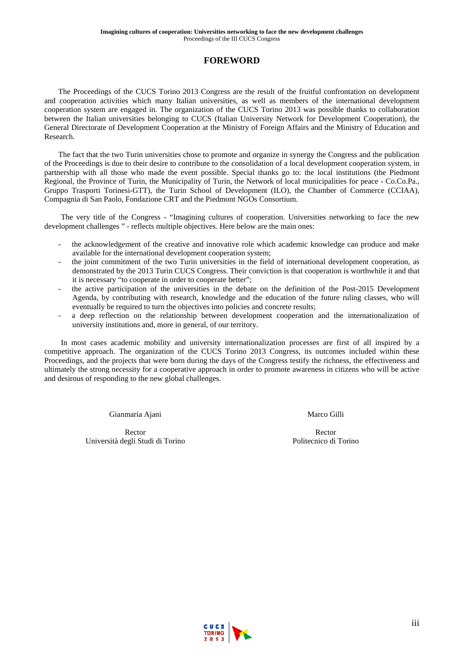# **FOREWORD**

The Proceedings of the CUCS Torino 2013 Congress are the result of the fruitful confrontation on development and cooperation activities which many Italian universities, as well as members of the international development cooperation system are engaged in. The organization of the CUCS Torino 2013 was possible thanks to collaboration between the Italian universities belonging to CUCS (Italian University Network for Development Cooperation), the General Directorate of Development Cooperation at the Ministry of Foreign Affairs and the Ministry of Education and Research.

The fact that the two Turin universities chose to promote and organize in synergy the Congress and the publication of the Proceedings is due to their desire to contribute to the consolidation of a local development cooperation system, in partnership with all those who made the event possible. Special thanks go to: the local institutions (the Piedmont Regional, the Province of Turin, the Municipality of Turin, the Network of local municipalities for peace - Co.Co.Pa., Gruppo Trasporti Torinesi-GTT), the Turin School of Development (ILO), the Chamber of Commerce (CCIAA), Compagnia di San Paolo, Fondazione CRT and the Piedmont NGOs Consortium.

The very title of the Congress - "Imagining cultures of cooperation. Universities networking to face the new development challenges " - reflects multiple objectives. Here below are the main ones:

- the acknowledgement of the creative and innovative role which academic knowledge can produce and make available for the international development cooperation system;
- the joint commitment of the two Turin universities in the field of international development cooperation, as demonstrated by the 2013 Turin CUCS Congress. Their conviction is that cooperation is worthwhile it and that it is necessary "to cooperate in order to cooperate better";
- the active participation of the universities in the debate on the definition of the Post-2015 Development Agenda, by contributing with research, knowledge and the education of the future ruling classes, who will eventually be required to turn the objectives into policies and concrete results;
- a deep reflection on the relationship between development cooperation and the internationalization of university institutions and, more in general, of our territory.

In most cases academic mobility and university internationalization processes are first of all inspired by a competitive approach. The organization of the CUCS Torino 2013 Congress, its outcomes included within these Proceedings, and the projects that were born during the days of the Congress testify the richness, the effectiveness and ultimately the strong necessity for a cooperative approach in order to promote awareness in citizens who will be active and desirous of responding to the new global challenges.

Gianmaria Ajani

Rector Università degli Studi di Torino Marco Gilli

Rector Politecnico di Torino

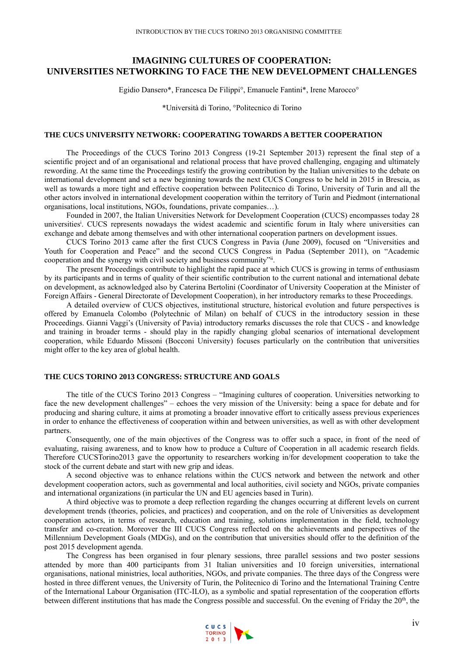# **IMAGINING CULTURES OF COOPERATION: UNIVERSITIES NETWORKING TO FACE THE NEW DEVELOPMENT CHALLENGES**

Egidio Dansero\*, Francesca De Filippi°, Emanuele Fantini\*, Irene Marocco°

\*Università di Torino, °Politecnico di Torino

## **THE CUCS UNIVERSITY NETWORK: COOPERATING TOWARDS A BETTER COOPERATION**

The Proceedings of the CUCS Torino 2013 Congress (19-21 September 2013) represent the final step of a scientific project and of an organisational and relational process that have proved challenging, engaging and ultimately rewording. At the same time the Proceedings testify the growing contribution by the Italian universities to the debate on international development and set a new beginning towards the next CUCS Congress to be held in 2015 in Brescia, as well as towards a more tight and effective cooperation between Politecnico di Torino, University of Turin and all the other actors involved in international development cooperation within the territory of Turin and Piedmont (international organisations, local institutions, NGOs, foundations, private companies…).

Founded in 2007, the Italian Universities Network for Development Cooperation (CUCS) encompasses today 28 universities<sup>i</sup>. CUCS represents nowadays the widest academic and scientific forum in Italy where universities can exchange and debate among themselves and with other international cooperation partners on development issues.

CUCS Torino 2013 came after the first CUCS Congress in Pavia (June 2009), focused on "Universities and Youth for Cooperation and Peace" and the second CUCS Congress in Padua (September 2011), on "Academic cooperation and the synergy with civil society and business community"ii.

The present Proceedings contribute to highlight the rapid pace at which CUCS is growing in terms of enthusiasm by its participants and in terms of quality of their scientific contribution to the current national and international debate on development, as acknowledged also by Caterina Bertolini (Coordinator of University Cooperation at the Minister of Foreign Affairs - General Directorate of Development Cooperation), in her introductory remarks to these Proceedings.

A detailed overview of CUCS objectives, institutional structure, historical evolution and future perspectives is offered by Emanuela Colombo (Polytechnic of Milan) on behalf of CUCS in the introductory session in these Proceedings. Gianni Vaggi's (University of Pavia) introductory remarks discusses the role that CUCS - and knowledge and training in broader terms - should play in the rapidly changing global scenarios of international development cooperation, while Eduardo Missoni (Bocconi University) focuses particularly on the contribution that universities might offer to the key area of global health.

#### **THE CUCS TORINO 2013 CONGRESS: STRUCTURE AND GOALS**

The title of the CUCS Torino 2013 Congress – "Imagining cultures of cooperation. Universities networking to face the new development challenges" – echoes the very mission of the University: being a space for debate and for producing and sharing culture, it aims at promoting a broader innovative effort to critically assess previous experiences in order to enhance the effectiveness of cooperation within and between universities, as well as with other development partners.

Consequently, one of the main objectives of the Congress was to offer such a space, in front of the need of evaluating, raising awareness, and to know how to produce a Culture of Cooperation in all academic research fields. Therefore CUCSTorino2013 gave the opportunity to researchers working in/for development cooperation to take the stock of the current debate and start with new grip and ideas.

A second objective was to enhance relations within the CUCS network and between the network and other development cooperation actors, such as governmental and local authorities, civil society and NGOs, private companies and international organizations (in particular the UN and EU agencies based in Turin).

A third objective was to promote a deep reflection regarding the changes occurring at different levels on current development trends (theories, policies, and practices) and cooperation, and on the role of Universities as development cooperation actors, in terms of research, education and training, solutions implementation in the field, technology transfer and co-creation. Moreover the III CUCS Congress reflected on the achievements and perspectives of the Millennium Development Goals (MDGs), and on the contribution that universities should offer to the definition of the post 2015 development agenda.

The Congress has been organised in four plenary sessions, three parallel sessions and two poster sessions attended by more than 400 participants from 31 Italian universities and 10 foreign universities, international organisations, national ministries, local authorities, NGOs, and private companies. The three days of the Congress were hosted in three different venues, the University of Turin, the Politecnico di Torino and the International Training Centre of the International Labour Organisation (ITC-ILO), as a symbolic and spatial representation of the cooperation efforts between different institutions that has made the Congress possible and successful. On the evening of Friday the 20<sup>th</sup>, the

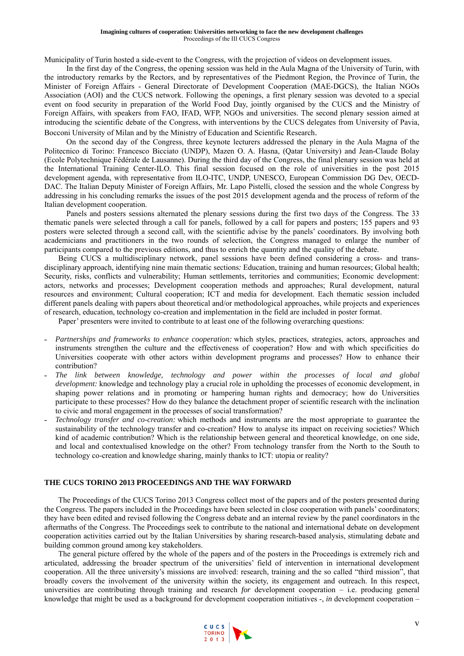Municipality of Turin hosted a side-event to the Congress, with the projection of videos on development issues.

In the first day of the Congress, the opening session was held in the Aula Magna of the University of Turin, with the introductory remarks by the Rectors, and by representatives of the Piedmont Region, the Province of Turin, the Minister of Foreign Affairs - General Directorate of Development Cooperation (MAE-DGCS), the Italian NGOs Association (AOI) and the CUCS network. Following the openings, a first plenary session was devoted to a special event on food security in preparation of the World Food Day, jointly organised by the CUCS and the Ministry of Foreign Affairs, with speakers from FAO, IFAD, WFP, NGOs and universities. The second plenary session aimed at introducing the scientific debate of the Congress, with interventions by the CUCS delegates from University of Pavia, Bocconi University of Milan and by the Ministry of Education and Scientific Research.

On the second day of the Congress, three keynote lecturers addressed the plenary in the Aula Magna of the Politecnico di Torino: Francesco Bicciato (UNDP), Mazen O. A. Hasna, (Qatar University) and Jean-Claude Bolay (Ecole Polytechnique Fédérale de Lausanne). During the third day of the Congress, the final plenary session was held at the International Training Center-ILO. This final session focused on the role of universities in the post 2015 development agenda, with representative from ILO-ITC, UNDP, UNESCO, European Commission DG Dev, OECD-DAC. The Italian Deputy Minister of Foreign Affairs, Mr. Lapo Pistelli, closed the session and the whole Congress by addressing in his concluding remarks the issues of the post 2015 development agenda and the process of reform of the Italian development cooperation.

Panels and posters sessions alternated the plenary sessions during the first two days of the Congress. The 33 thematic panels were selected through a call for panels, followed by a call for papers and posters; 155 papers and 93 posters were selected through a second call, with the scientific advise by the panels' coordinators. By involving both academicians and practitioners in the two rounds of selection, the Congress managed to enlarge the number of participants compared to the previous editions, and thus to enrich the quantity and the quality of the debate.

Being CUCS a multidisciplinary network, panel sessions have been defined considering a cross- and transdisciplinary approach, identifying nine main thematic sections*:* Education, training and human resources; Global health; Security, risks, conflicts and vulnerability; Human settlements, territories and communities; Economic development: actors, networks and processes; Development cooperation methods and approaches; Rural development, natural resources and environment; Cultural cooperation; ICT and media for development. Each thematic session included different panels dealing with papers about theoretical and/or methodological approaches, while projects and experiences of research, education, technology co-creation and implementation in the field are included in poster format.

Paper' presenters were invited to contribute to at least one of the following overarching questions:

- ˗ *Partnerships and frameworks to enhance cooperation:* which styles, practices, strategies, actors, approaches and instruments strengthen the culture and the effectiveness of cooperation? How and with which specificities do Universities cooperate with other actors within development programs and processes? How to enhance their contribution?
- ˗ *The link between knowledge, technology and power within the processes of local and global development:* knowledge and technology play a crucial role in upholding the processes of economic development, in shaping power relations and in promoting or hampering human rights and democracy; how do Universities participate to these processes? How do they balance the detachment proper of scientific research with the inclination to civic and moral engagement in the processes of social transformation?
- ˗ *Technology transfer and co-creation:* which methods and instruments are the most appropriate to guarantee the sustainability of the technology transfer and co-creation? How to analyse its impact on receiving societies? Which kind of academic contribution? Which is the relationship between general and theoretical knowledge, on one side, and local and contextualised knowledge on the other? From technology transfer from the North to the South to technology co-creation and knowledge sharing, mainly thanks to ICT: utopia or reality?

# **THE CUCS TORINO 2013 PROCEEDINGS AND THE WAY FORWARD**

The Proceedings of the CUCS Torino 2013 Congress collect most of the papers and of the posters presented during the Congress. The papers included in the Proceedings have been selected in close cooperation with panels' coordinators; they have been edited and revised following the Congress debate and an internal review by the panel coordinators in the aftermaths of the Congress. The Proceedings seek to contribute to the national and international debate on development cooperation activities carried out by the Italian Universities by sharing research-based analysis, stimulating debate and building common ground among key stakeholders.

The general picture offered by the whole of the papers and of the posters in the Proceedings is extremely rich and articulated, addressing the broader spectrum of the universities' field of intervention in international development cooperation. All the three university's missions are involved: research, training and the so called "third mission", that broadly covers the involvement of the university within the society, its engagement and outreach. In this respect, universities are contributing through training and research *for* development cooperation – i.e. producing general knowledge that might be used as a background for development cooperation initiatives -, *in* development cooperation –

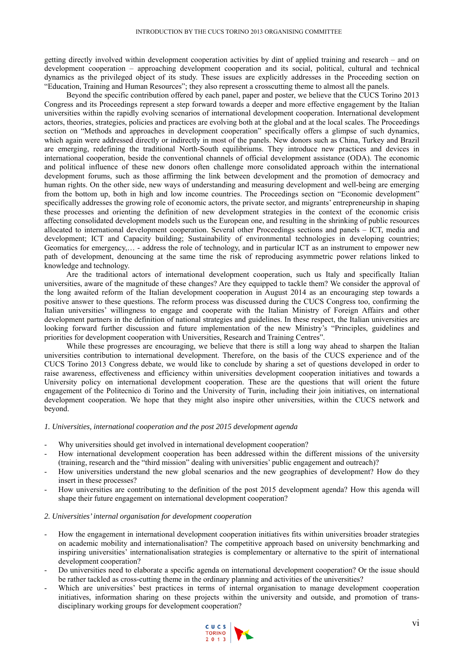getting directly involved within development cooperation activities by dint of applied training and research – and *on*  development cooperation – approaching development cooperation and its social, political, cultural and technical dynamics as the privileged object of its study. These issues are explicitly addresses in the Proceeding section on "Education, Training and Human Resources"; they also represent a crosscutting theme to almost all the panels.

Beyond the specific contribution offered by each panel, paper and poster, we believe that the CUCS Torino 2013 Congress and its Proceedings represent a step forward towards a deeper and more effective engagement by the Italian universities within the rapidly evolving scenarios of international development cooperation. International development actors, theories, strategies, policies and practices are evolving both at the global and at the local scales. The Proceedings section on "Methods and approaches in development cooperation" specifically offers a glimpse of such dynamics, which again were addressed directly or indirectly in most of the panels. New donors such as China, Turkey and Brazil are emerging, redefining the traditional North-South equilibriums. They introduce new practices and devices in international cooperation, beside the conventional channels of official development assistance (ODA). The economic and political influence of these new donors often challenge more consolidated approach within the international development forums, such as those affirming the link between development and the promotion of democracy and human rights. On the other side, new ways of understanding and measuring development and well-being are emerging from the bottom up, both in high and low income countries. The Proceedings section on "Economic development" specifically addresses the growing role of economic actors, the private sector, and migrants' entrepreneurship in shaping these processes and orienting the definition of new development strategies in the context of the economic crisis affecting consolidated development models such us the European one, and resulting in the shrinking of public resources allocated to international development cooperation. Several other Proceedings sections and panels – ICT, media and development; ICT and Capacity building; Sustainability of environmental technologies in developing countries; Geomatics for emergency,… - address the role of technology, and in particular ICT as an instrument to empower new path of development, denouncing at the same time the risk of reproducing asymmetric power relations linked to knowledge and technology.

Are the traditional actors of international development cooperation, such us Italy and specifically Italian universities, aware of the magnitude of these changes? Are they equipped to tackle them? We consider the approval of the long awaited reform of the Italian development cooperation in August 2014 as an encouraging step towards a positive answer to these questions. The reform process was discussed during the CUCS Congress too, confirming the Italian universities' willingness to engage and cooperate with the Italian Ministry of Foreign Affairs and other development partners in the definition of national strategies and guidelines. In these respect, the Italian universities are looking forward further discussion and future implementation of the new Ministry's "Principles, guidelines and priorities for development cooperation with Universities, Research and Training Centres".

While these progresses are encouraging, we believe that there is still a long way ahead to sharpen the Italian universities contribution to international development. Therefore, on the basis of the CUCS experience and of the CUCS Torino 2013 Congress debate, we would like to conclude by sharing a set of questions developed in order to raise awareness, effectiveness and efficiency within universities development cooperation initiatives and towards a University policy on international development cooperation. These are the questions that will orient the future engagement of the Politecnico di Torino and the University of Turin, including their join initiatives, on international development cooperation. We hope that they might also inspire other universities, within the CUCS network and beyond.

#### *1. Universities, international cooperation and the post 2015 development agenda*

- Why universities should get involved in international development cooperation?
- How international development cooperation has been addressed within the different missions of the university (training, research and the "third mission" dealing with universities' public engagement and outreach)?
- How universities understand the new global scenarios and the new geographies of development? How do they insert in these processes?
- How universities are contributing to the definition of the post 2015 development agenda? How this agenda will shape their future engagement on international development cooperation?

#### *2. Universities' internal organisation for development cooperation*

- How the engagement in international development cooperation initiatives fits within universities broader strategies on academic mobility and internationalisation? The competitive approach based on university benchmarking and inspiring universities' internationalisation strategies is complementary or alternative to the spirit of international development cooperation?
- Do universities need to elaborate a specific agenda on international development cooperation? Or the issue should be rather tackled as cross-cutting theme in the ordinary planning and activities of the universities?
- Which are universities' best practices in terms of internal organisation to manage development cooperation initiatives, information sharing on these projects within the university and outside, and promotion of transdisciplinary working groups for development cooperation?

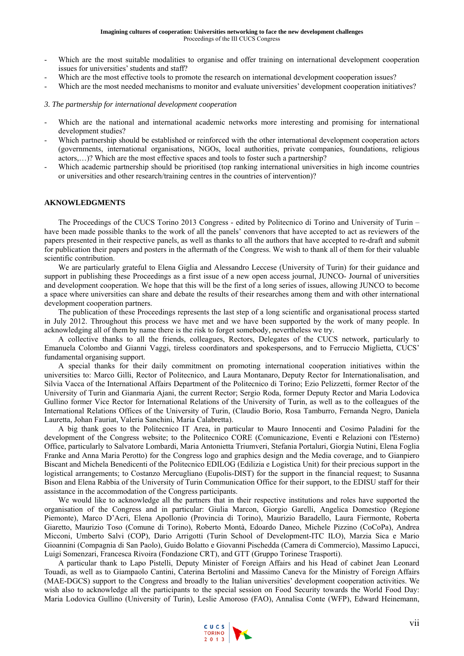- Which are the most suitable modalities to organise and offer training on international development cooperation issues for universities' students and staff?
- Which are the most effective tools to promote the research on international development cooperation issues?
- Which are the most needed mechanisms to monitor and evaluate universities' development cooperation initiatives?

#### *3. The partnership for international development cooperation*

- Which are the national and international academic networks more interesting and promising for international development studies?
- Which partnership should be established or reinforced with the other international development cooperation actors (governments, international organisations, NGOs, local authorities, private companies, foundations, religious actors,…)? Which are the most effective spaces and tools to foster such a partnership?
- Which academic partnership should be prioritised (top ranking international universities in high income countries or universities and other research/training centres in the countries of intervention)?

## **AKNOWLEDGMENTS**

The Proceedings of the CUCS Torino 2013 Congress - edited by Politecnico di Torino and University of Turin – have been made possible thanks to the work of all the panels' convenors that have accepted to act as reviewers of the papers presented in their respective panels, as well as thanks to all the authors that have accepted to re-draft and submit for publication their papers and posters in the aftermath of the Congress. We wish to thank all of them for their valuable scientific contribution.

We are particularly grateful to Elena Giglia and Alessandro Leccese (University of Turin) for their guidance and support in publishing these Proceedings as a first issue of a new open access journal, JUNCO- Journal of universities and development cooperation. We hope that this will be the first of a long series of issues, allowing JUNCO to become a space where universities can share and debate the results of their researches among them and with other international development cooperation partners.

The publication of these Proceedings represents the last step of a long scientific and organisational process started in July 2012. Throughout this process we have met and we have been supported by the work of many people. In acknowledging all of them by name there is the risk to forget somebody, nevertheless we try.

A collective thanks to all the friends, colleagues, Rectors, Delegates of the CUCS network, particularly to Emanuela Colombo and Gianni Vaggi, tireless coordinators and spokespersons, and to Ferruccio Miglietta, CUCS' fundamental organising support.

A special thanks for their daily commitment on promoting international cooperation initiatives within the universities to: Marco Gilli, Rector of Politecnico, and Laura Montanaro, Deputy Rector for Internationalisation, and Silvia Vacca of the International Affairs Department of the Politecnico di Torino; Ezio Pelizzetti, former Rector of the University of Turin and Gianmaria Ajani, the current Rector; Sergio Roda, former Deputy Rector and Maria Lodovica Gullino former Vice Rector for International Relations of the University of Turin, as well as to the colleagues of the International Relations Offices of the University of Turin, (Claudio Borio, Rosa Tamburro, Fernanda Negro, Daniela Lauretta, Johan Fauriat, Valeria Sanchini, Maria Calabretta).

A big thank goes to the Politecnico IT Area, in particular to Mauro Innocenti and Cosimo Paladini for the development of the Congress website; to the Politecnico CORE (Comunicazione, Eventi e Relazioni con l'Esterno) Office, particularly to Salvatore Lombardi, Maria Antonietta Triumveri, Stefania Portaluri, Giorgia Nutini, Elena Foglia Franke and Anna Maria Perotto) for the Congress logo and graphics design and the Media coverage, and to Gianpiero Biscant and Michela Benedicenti of the Politecnico EDILOG (Edilizia e Logistica Unit) for their precious support in the logistical arrangements; to Costanzo Mercugliano (Eupolis-DIST) for the support in the financial request; to Susanna Bison and Elena Rabbia of the University of Turin Communication Office for their support, to the EDISU staff for their assistance in the accommodation of the Congress participants.

We would like to acknowledge all the partners that in their respective institutions and roles have supported the organisation of the Congress and in particular: Giulia Marcon, Giorgio Garelli, Angelica Domestico (Regione Piemonte), Marco D'Acri, Elena Apollonio (Provincia di Torino), Maurizio Baradello, Laura Fiermonte, Roberta Giaretto, Maurizio Toso (Comune di Torino), Roberto Montà, Edoardo Daneo, Michele Pizzino (CoCoPa), Andrea Micconi, Umberto Salvi (COP), Dario Arrigotti (Turin School of Development-ITC ILO), Marzia Sica e Mario Gioannini (Compagnia di San Paolo), Guido Bolatto e Giovanni Pischedda (Camera di Commercio), Massimo Lapucci, Luigi Somenzari, Francesca Rivoira (Fondazione CRT), and GTT (Gruppo Torinese Trasporti).

A particular thank to Lapo Pistelli, Deputy Minister of Foreign Affairs and his Head of cabinet Jean Leonard Touadi, as well as to Giampaolo Cantini, Caterina Bertolini and Massimo Caneva for the Ministry of Foreign Affairs (MAE-DGCS) support to the Congress and broadly to the Italian universities' development cooperation activities. We wish also to acknowledge all the participants to the special session on Food Security towards the World Food Day: Maria Lodovica Gullino (University of Turin), Leslie Amoroso (FAO), Annalisa Conte (WFP), Edward Heinemann,

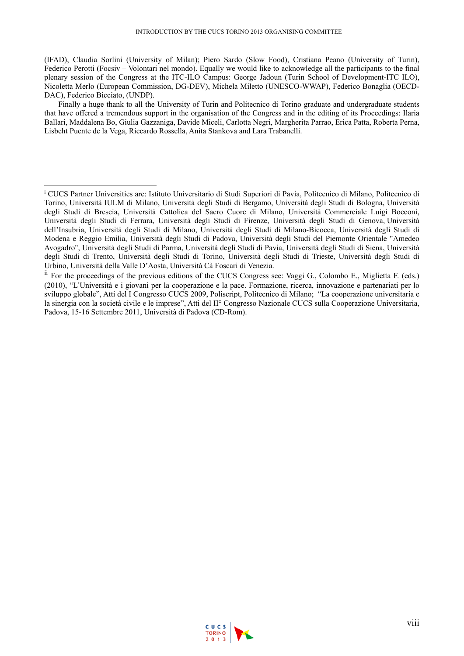(IFAD), Claudia Sorlini (University of Milan); Piero Sardo (Slow Food), Cristiana Peano (University of Turin), Federico Perotti (Focsiv – Volontari nel mondo). Equally we would like to acknowledge all the participants to the final plenary session of the Congress at the ITC-ILO Campus: George Jadoun (Turin School of Development-ITC ILO), Nicoletta Merlo (European Commission, DG-DEV), Michela Miletto (UNESCO-WWAP), Federico Bonaglia (OECD-DAC), Federico Bicciato, (UNDP).

Finally a huge thank to all the University of Turin and Politecnico di Torino graduate and undergraduate students that have offered a tremendous support in the organisation of the Congress and in the editing of its Proceedings: Ilaria Ballari, Maddalena Bo, Giulia Gazzaniga, Davide Miceli, Carlotta Negri, Margherita Parrao, Erica Patta, Roberta Perna, Lisbeht Puente de la Vega, Riccardo Rossella, Anita Stankova and Lara Trabanelli.

 $\overline{a}$ 



i CUCS Partner Universities are: Istituto Universitario di Studi Superiori di Pavia, Politecnico di Milano, Politecnico di Torino, Università IULM di Milano, Università degli Studi di Bergamo, Università degli Studi di Bologna, Università degli Studi di Brescia, Università Cattolica del Sacro Cuore di Milano, Università Commerciale Luigi Bocconi, Università degli Studi di Ferrara, Università degli Studi di Firenze, Università degli Studi di Genova, Università dell'Insubria, Università degli Studi di Milano, Università degli Studi di Milano-Bicocca, Università degli Studi di Modena e Reggio Emilia, Università degli Studi di Padova, Università degli Studi del Piemonte Orientale "Amedeo Avogadro", Università degli Studi di Parma, Università degli Studi di Pavia, Università degli Studi di Siena, Università degli Studi di Trento, Università degli Studi di Torino, Università degli Studi di Trieste, Università degli Studi di Urbino, Università della Valle D'Aosta, Università Cà Foscari di Venezia.

 $\mu$ <sup>ii</sup> For the proceedings of the previous editions of the CUCS Congress see: Vaggi G., Colombo E., Miglietta F. (eds.) (2010), "L'Università e i giovani per la cooperazione e la pace. Formazione, ricerca, innovazione e partenariati per lo sviluppo globale", Atti del I Congresso CUCS 2009, Poliscript, Politecnico di Milano; "La cooperazione universitaria e la sinergia con la società civile e le imprese", Atti del II° Congresso Nazionale CUCS sulla Cooperazione Universitaria, Padova, 15-16 Settembre 2011, Università di Padova (CD-Rom).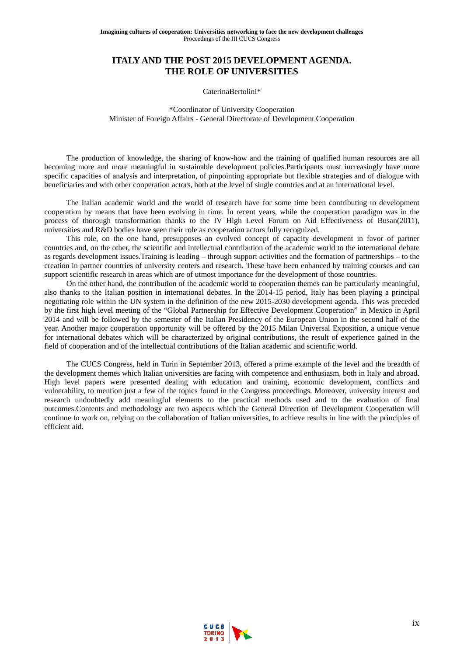# **ITALY AND THE POST 2015 DEVELOPMENT AGENDA. THE ROLE OF UNIVERSITIES**

#### CaterinaBertolini\*

\*Coordinator of University Cooperation Minister of Foreign Affairs - General Directorate of Development Cooperation

The production of knowledge, the sharing of know-how and the training of qualified human resources are all becoming more and more meaningful in sustainable development policies.Participants must increasingly have more specific capacities of analysis and interpretation, of pinpointing appropriate but flexible strategies and of dialogue with beneficiaries and with other cooperation actors, both at the level of single countries and at an international level.

The Italian academic world and the world of research have for some time been contributing to development cooperation by means that have been evolving in time. In recent years, while the cooperation paradigm was in the process of thorough transformation thanks to the IV High Level Forum on Aid Effectiveness of Busan(2011), universities and R&D bodies have seen their role as cooperation actors fully recognized.

This role, on the one hand, presupposes an evolved concept of capacity development in favor of partner countries and, on the other, the scientific and intellectual contribution of the academic world to the international debate as regards development issues.Training is leading – through support activities and the formation of partnerships – to the creation in partner countries of university centers and research. These have been enhanced by training courses and can support scientific research in areas which are of utmost importance for the development of those countries.

On the other hand, the contribution of the academic world to cooperation themes can be particularly meaningful, also thanks to the Italian position in international debates. In the 2014-15 period, Italy has been playing a principal negotiating role within the UN system in the definition of the new 2015-2030 development agenda. This was preceded by the first high level meeting of the "Global Partnership for Effective Development Cooperation" in Mexico in April 2014 and will be followed by the semester of the Italian Presidency of the European Union in the second half of the year. Another major cooperation opportunity will be offered by the 2015 Milan Universal Exposition, a unique venue for international debates which will be characterized by original contributions, the result of experience gained in the field of cooperation and of the intellectual contributions of the Italian academic and scientific world.

The CUCS Congress, held in Turin in September 2013, offered a prime example of the level and the breadth of the development themes which Italian universities are facing with competence and enthusiasm, both in Italy and abroad. High level papers were presented dealing with education and training, economic development, conflicts and vulnerability, to mention just a few of the topics found in the Congress proceedings. Moreover, university interest and research undoubtedly add meaningful elements to the practical methods used and to the evaluation of final outcomes.Contents and methodology are two aspects which the General Direction of Development Cooperation will continue to work on, relying on the collaboration of Italian universities, to achieve results in line with the principles of efficient aid.

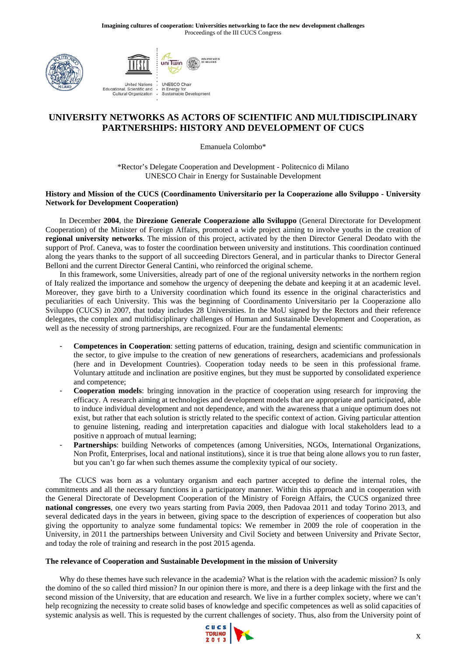



# **UNIVERSITY NETWORKS AS ACTORS OF SCIENTIFIC AND MULTIDISCIPLINARY PARTNERSHIPS: HISTORY AND DEVELOPMENT OF CUCS**

Emanuela Colombo\*

\*Rector's Delegate Cooperation and Development - Politecnico di Milano UNESCO Chair in Energy for Sustainable Development

## **History and Mission of the CUCS (Coordinamento Universitario per la Cooperazione allo Sviluppo - University Network for Development Cooperation)**

In December **2004**, the **Direzione Generale Cooperazione allo Sviluppo** (General Directorate for Development Cooperation) of the Minister of Foreign Affairs, promoted a wide project aiming to involve youths in the creation of **regional university networks**. The mission of this project, activated by the then Director General Deodato with the support of Prof. Caneva, was to foster the coordination between university and institutions. This coordination continued along the years thanks to the support of all succeeding Directors General, and in particular thanks to Director General Belloni and the current Director General Cantini, who reinforced the original scheme.

In this framework, some Universities, already part of one of the regional university networks in the northern region of Italy realized the importance and somehow the urgency of deepening the debate and keeping it at an academic level. Moreover, they gave birth to a University coordination which found its essence in the original characteristics and peculiarities of each University. This was the beginning of Coordinamento Universitario per la Cooperazione allo Sviluppo (CUCS) in 2007, that today includes 28 Universities. In the MoU signed by the Rectors and their reference delegates, the complex and multidisciplinary challenges of Human and Sustainable Development and Cooperation, as well as the necessity of strong partnerships, are recognized. Four are the fundamental elements:

- **Competences in Cooperation**: setting patterns of education, training, design and scientific communication in the sector, to give impulse to the creation of new generations of researchers, academicians and professionals (here and in Development Countries). Cooperation today needs to be seen in this professional frame. Voluntary attitude and inclination are positive engines, but they must be supported by consolidated experience and competence;
- **Cooperation models**: bringing innovation in the practice of cooperation using research for improving the efficacy. A research aiming at technologies and development models that are appropriate and participated, able to induce individual development and not dependence, and with the awareness that a unique optimum does not exist, but rather that each solution is strictly related to the specific context of action. Giving particular attention to genuine listening, reading and interpretation capacities and dialogue with local stakeholders lead to a positive n approach of mutual learning;
- Partnerships: building Networks of competences (among Universities, NGOs, International Organizations, Non Profit, Enterprises, local and national institutions), since it is true that being alone allows you to run faster, but you can't go far when such themes assume the complexity typical of our society.

The CUCS was born as a voluntary organism and each partner accepted to define the internal roles, the commitments and all the necessary functions in a participatory manner. Within this approach and in cooperation with the General Directorate of Development Cooperation of the Ministry of Foreign Affairs, the CUCS organized three **national congresses**, one every two years starting from Pavia 2009, then Padovaa 2011 and today Torino 2013, and several dedicated days in the years in between, giving space to the description of experiences of cooperation but also giving the opportunity to analyze some fundamental topics: We remember in 2009 the role of cooperation in the University, in 2011 the partnerships between University and Civil Society and between University and Private Sector, and today the role of training and research in the post 2015 agenda.

## **The relevance of Cooperation and Sustainable Development in the mission of University**

Why do these themes have such relevance in the academia? What is the relation with the academic mission? Is only the domino of the so called third mission? In our opinion there is more, and there is a deep linkage with the first and the second mission of the University, that are education and research. We live in a further complex society, where we can't help recognizing the necessity to create solid bases of knowledge and specific competences as well as solid capacities of systemic analysis as well. This is requested by the current challenges of society. Thus, also from the University point of

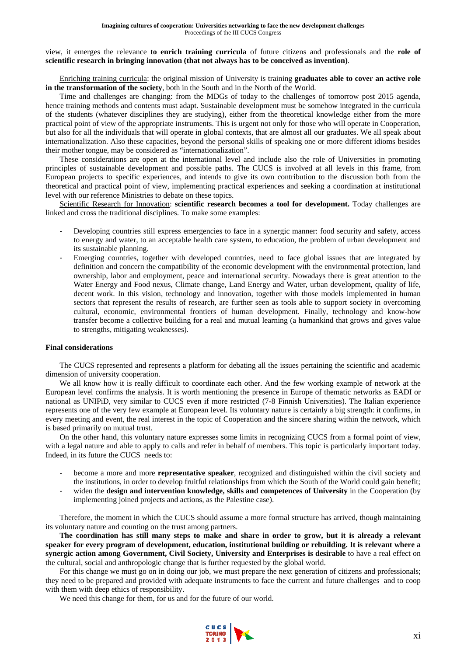view, it emerges the relevance **to enrich training curricula** of future citizens and professionals and the **role of scientific research in bringing innovation (that not always has to be conceived as invention)**.

Enriching training curricula: the original mission of University is training **graduates able to cover an active role in the transformation of the society**, both in the South and in the North of the World.

Time and challenges are changing: from the MDGs of today to the challenges of tomorrow post 2015 agenda, hence training methods and contents must adapt. Sustainable development must be somehow integrated in the curricula of the students (whatever disciplines they are studying), either from the theoretical knowledge either from the more practical point of view of the appropriate instruments. This is urgent not only for those who will operate in Cooperation, but also for all the individuals that will operate in global contexts, that are almost all our graduates. We all speak about internationalization. Also these capacities, beyond the personal skills of speaking one or more different idioms besides their mother tongue, may be considered as "internationalization".

These considerations are open at the international level and include also the role of Universities in promoting principles of sustainable development and possible paths. The CUCS is involved at all levels in this frame, from European projects to specific experiences, and intends to give its own contribution to the discussion both from the theoretical and practical point of view, implementing practical experiences and seeking a coordination at institutional level with our reference Ministries to debate on these topics.

Scientific Research for Innovation: **scientific research becomes a tool for development.** Today challenges are linked and cross the traditional disciplines. To make some examples:

- Developing countries still express emergencies to face in a synergic manner: food security and safety, access to energy and water, to an acceptable health care system, to education, the problem of urban development and its sustainable planning.
- Emerging countries, together with developed countries, need to face global issues that are integrated by definition and concern the compatibility of the economic development with the environmental protection, land ownership, labor and employment, peace and international security. Nowadays there is great attention to the Water Energy and Food nexus, Climate change, Land Energy and Water, urban development, quality of life, decent work. In this vision, technology and innovation, together with those models implemented in human sectors that represent the results of research, are further seen as tools able to support society in overcoming cultural, economic, environmental frontiers of human development. Finally, technology and know-how transfer become a collective building for a real and mutual learning (a humankind that grows and gives value to strengths, mitigating weaknesses).

## **Final considerations**

The CUCS represented and represents a platform for debating all the issues pertaining the scientific and academic dimension of university cooperation.

We all know how it is really difficult to coordinate each other. And the few working example of network at the European level confirms the analysis. It is worth mentioning the presence in Europe of thematic networks as EADI or national as UNIPiD, very similar to CUCS even if more restricted (7-8 Finnish Universities). The Italian experience represents one of the very few example at European level. Its voluntary nature is certainly a big strength: it confirms, in every meeting and event, the real interest in the topic of Cooperation and the sincere sharing within the network, which is based primarily on mutual trust.

On the other hand, this voluntary nature expresses some limits in recognizing CUCS from a formal point of view, with a legal nature and able to apply to calls and refer in behalf of members. This topic is particularly important today. Indeed, in its future the CUCS needs to:

- become a more and more **representative speaker**, recognized and distinguished within the civil society and the institutions, in order to develop fruitful relationships from which the South of the World could gain benefit;
- widen the **design and intervention knowledge, skills and competences of University** in the Cooperation (by implementing joined projects and actions, as the Palestine case).

Therefore, the moment in which the CUCS should assume a more formal structure has arrived, though maintaining its voluntary nature and counting on the trust among partners.

**The coordination has still many steps to make and share in order to grow, but it is already a relevant speaker for every program of development, education, institutional building or rebuilding. It is relevant where a synergic action among Government, Civil Society, University and Enterprises is desirable** to have a real effect on the cultural, social and anthropologic change that is further requested by the global world.

For this change we must go on in doing our job, we must prepare the next generation of citizens and professionals; they need to be prepared and provided with adequate instruments to face the current and future challenges and to coop with them with deep ethics of responsibility.

We need this change for them, for us and for the future of our world.

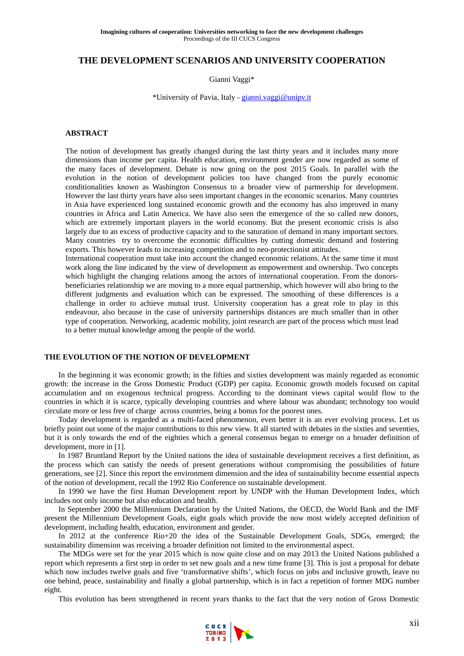# **THE DEVELOPMENT SCENARIOS AND UNIVERSITY COOPERATION**

Gianni Vaggi\*

\*University of Pavia, Italy - gianni.vaggi@unipv.it

## **ABSTRACT**

The notion of development has greatly changed during the last thirty years and it includes many more dimensions than income per capita. Health education, environment gender are now regarded as some of the many faces of development. Debate is now going on the post 2015 Goals. In parallel with the evolution in the notion of development policies too have changed from the purely economic conditionalities known as Washington Consensus to a broader view of partnership for development. However the last thirty years have also seen important changes in the economic scenarios. Many countries in Asia have experienced long sustained economic growth and the economy has also improved in many countries in Africa and Latin America. We have also seen the emergence of the so called new donors, which are extremely important players in the world economy. But the present economic crisis is also largely due to an excess of productive capacity and to the saturation of demand in many important sectors. Many countries try to overcome the economic difficulties by cutting domestic demand and fostering exports. This however leads to increasing competition and to neo-protectionist attitudes.

International cooperation must take into account the changed economic relations. At the same time it must work along the line indicated by the view of development as empowerment and ownership. Two concepts which highlight the changing relations among the actors of international cooperation. From the donorsbeneficiaries relationship we are moving to a more equal partnership, which however will also bring to the different judgments and evaluation which can be expressed. The smoothing of these differences is a challenge in order to achieve mutual trust. University cooperation has a great role to play in this endeavour, also because in the case of university partnerships distances are much smaller than in other type of cooperation. Networking, academic mobility, joint research are part of the process which must lead to a better mutual knowledge among the people of the world.

## **THE EVOLUTION OF THE NOTION OF DEVELOPMENT**

In the beginning it was economic growth; in the fifties and sixties development was mainly regarded as economic growth: the increase in the Gross Domestic Product (GDP) per capita. Economic growth models focused on capital accumulation and on exogenous technical progress. According to the dominant views capital would flow to the countries in which it is scarce, typically developing countries and where labour was abundant; technology too would circulate more or less free of charge across countries, being a bonus for the poorest ones.

Today development is regarded as a multi-faced phenomenon, even better it is an ever evolving process. Let us briefly point out some of the major contributions to this new view. It all started with debates in the sixties and seventies, but it is only towards the end of the eighties which a general consensus began to emerge on a broader definition of development, more in [1].

In 1987 Bruntland Report by the United nations the idea of sustainable development receives a first definition, as the process which can satisfy the needs of present generations without compromising the possibilities of future generations, see [2]. Since this report the environment dimension and the idea of sustainability become essential aspects of the notion of development, recall the 1992 Rio Conference on sustainable development.

In 1990 we have the first Human Development report by UNDP with the Human Development Index, which includes not only income but also education and health.

In September 2000 the Millennium Declaration by the United Nations, the OECD, the World Bank and the IMF present the Millennium Development Goals, eight goals which provide the now most widely accepted definition of development, including health, education, environment and gender.

In 2012 at the conference Rio+20 the idea of the Sustainable Development Goals, SDGs, emerged; the sustainability dimension was receiving a broader definition not limited to the environmental aspect.

The MDGs were set for the year 2015 which is now quite close and on may 2013 the United Nations published a report which represents a first step in order to set new goals and a new time frame [3]. This is just a proposal for debate which now includes twelve goals and five 'transformative shifts', which focus on jobs and inclusive growth, leave no one behind, peace, sustainability and finally a global partnership, which is in fact a repetition of former MDG number eight.

This evolution has been strengthened in recent years thanks to the fact that the very notion of Gross Domestic

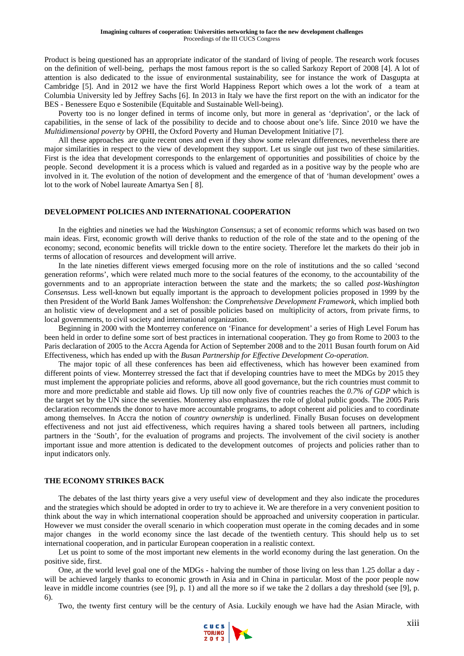Product is being questioned has an appropriate indicator of the standard of living of people. The research work focuses on the definition of well-being, perhaps the most famous report is the so called Sarkozy Report of 2008 [4]. A lot of attention is also dedicated to the issue of environmental sustainability, see for instance the work of Dasgupta at Cambridge [5]. And in 2012 we have the first World Happiness Report which owes a lot the work of a team at Columbia University led by Jeffrey Sachs [6]. In 2013 in Italy we have the first report on the with an indicator for the BES - Benessere Equo e Sostenibile (Equitable and Sustainable Well-being).

Poverty too is no longer defined in terms of income only, but more in general as 'deprivation', or the lack of capabilities, in the sense of lack of the possibility to decide and to choose about one's life. Since 2010 we have the *Multidimensional poverty* by OPHI, the Oxford Poverty and Human Development Initiative [7].

All these approaches are quite recent ones and even if they show some relevant differences, nevertheless there are major similarities in respect to the view of development they support. Let us single out just two of these similarities. First is the idea that development corresponds to the enlargement of opportunities and possibilities of choice by the people. Second development it is a process which is valued and regarded as in a positive way by the people who are involved in it. The evolution of the notion of development and the emergence of that of 'human development' owes a lot to the work of Nobel laureate Amartya Sen [ 8].

#### **DEVELOPMENT POLICIES AND INTERNATIONAL COOPERATION**

In the eighties and nineties we had the *Washington Consensus*; a set of economic reforms which was based on two main ideas. First, economic growth will derive thanks to reduction of the role of the state and to the opening of the economy; second, economic benefits will trickle down to the entire society. Therefore let the markets do their job in terms of allocation of resources and development will arrive.

In the late nineties different views emerged focusing more on the role of institutions and the so called 'second generation reforms', which were related much more to the social features of the economy, to the accountability of the governments and to an appropriate interaction between the state and the markets; the so called *post-Washington Consensus.* Less well-known but equally important is the approach to development policies proposed in 1999 by the then President of the World Bank James Wolfenshon: the *Comprehensive Development Framework*, which implied both an holistic view of development and a set of possible policies based on multiplicity of actors, from private firms, to local governments, to civil society and international organization.

Beginning in 2000 with the Monterrey conference on 'Finance for development' a series of High Level Forum has been held in order to define some sort of best practices in international cooperation. They go from Rome to 2003 to the Paris declaration of 2005 to the Accra Agenda for Action of September 2008 and to the 2011 Busan fourth forum on Aid Effectiveness, which has ended up with the *Busan Partnership for Effective Development Co-operation*.

The major topic of all these conferences has been aid effectiveness, which has however been examined from different points of view. Monterrey stressed the fact that if developing countries have to meet the MDGs by 2015 they must implement the appropriate policies and reforms, above all good governance, but the rich countries must commit to more and more predictable and stable aid flows. Up till now only five of countries reaches the *0.7% of GDP* which is the target set by the UN since the seventies. Monterrey also emphasizes the role of global public goods. The 2005 Paris declaration recommends the donor to have more accountable programs, to adopt coherent aid policies and to coordinate among themselves. In Accra the notion of *country ownership* is underlined. Finally Busan focuses on development effectiveness and not just aid effectiveness, which requires having a shared tools between all partners, including partners in the 'South', for the evaluation of programs and projects. The involvement of the civil society is another important issue and more attention is dedicated to the development outcomes of projects and policies rather than to input indicators only.

## **THE ECONOMY STRIKES BACK**

The debates of the last thirty years give a very useful view of development and they also indicate the procedures and the strategies which should be adopted in order to try to achieve it. We are therefore in a very convenient position to think about the way in which international cooperation should be approached and university cooperation in particular. However we must consider the overall scenario in which cooperation must operate in the coming decades and in some major changes in the world economy since the last decade of the twentieth century. This should help us to set international cooperation, and in particular European cooperation in a realistic context.

Let us point to some of the most important new elements in the world economy during the last generation. On the positive side, first.

One, at the world level goal one of the MDGs - halving the number of those living on less than 1.25 dollar a day will be achieved largely thanks to economic growth in Asia and in China in particular. Most of the poor people now leave in middle income countries (see [9], p. 1) and all the more so if we take the 2 dollars a day threshold (see [9], p. 6).

Two, the twenty first century will be the century of Asia. Luckily enough we have had the Asian Miracle, with

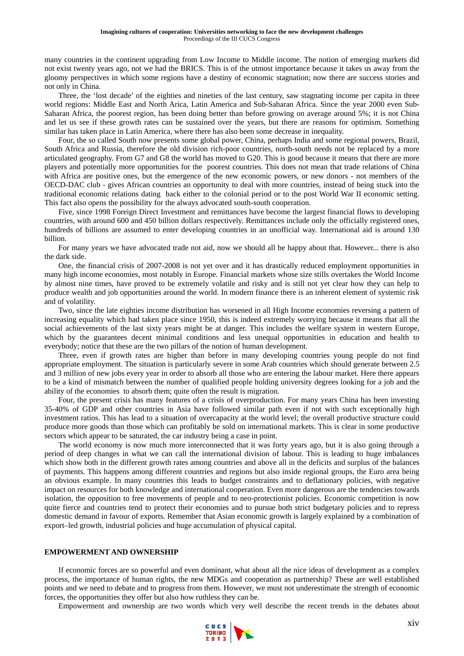many countries in the continent upgrading from Low Income to Middle income. The notion of emerging markets did not exist twenty years ago, not we had the BRICS. This is of the utmost importance because it takes us away from the gloomy perspectives in which some regions have a destiny of economic stagnation; now there are success stories and not only in China.

Three, the 'lost decade' of the eighties and nineties of the last century, saw stagnating income per capita in three world regions: Middle East and North Arica, Latin America and Sub-Saharan Africa. Since the year 2000 even Sub-Saharan Africa, the poorest region, has been doing better than before growing on average around 5%; it is not China and let us see if these growth rates can be sustained over the years, but there are reasons for optimism. Something similar has taken place in Latin America, where there has also been some decrease in inequality.

Four, the so called South now presents some global power, China, perhaps India and some regional powers, Brazil, South Africa and Russia, therefore the old division rich-poor countries, north-south needs not be replaced by a more articulated geography. From G7 and G8 the world has moved to G20. This is good because it means that there are more players and potentially more opportunities for the poorest countries. This does not mean that trade relations of China with Africa are positive ones, but the emergence of the new economic powers, or new donors - not members of the OECD-DAC club - gives African countries an opportunity to deal with more countries, instead of being stuck into the traditional economic relations dating back either to the colonial period or to the post World War II economic setting. This fact also opens the possibility for the always advocated south-south cooperation.

Five, since 1998 Foreign Direct Investment and remittances have become the largest financial flows to developing countries, with around 600 and 450 billion dollars respectively. Remittances include only the officially registered ones, hundreds of billions are assumed to enter developing countries in an unofficial way. International aid is around 130 billion.

For many years we have advocated trade not aid, now we should all be happy about that. However... there is also the dark side.

One, the financial crisis of 2007-2008 is not yet over and it has drastically reduced employment opportunities in many high income economies, most notably in Europe. Financial markets whose size stills overtakes the World Income by almost nine times, have proved to be extremely volatile and risky and is still not yet clear how they can help to produce wealth and job opportunities around the world. In modern finance there is an inherent element of systemic risk and of volatility.

Two, since the late eighties income distribution has worsened in all High Income economies reversing a pattern of increasing equality which had taken place since 1950, this is indeed extremely worrying because it means that all the social achievements of the last sixty years might be at danger. This includes the welfare system in western Europe, which by the guarantees decent minimal conditions and less unequal opportunities in education and health to everybody; notice that these are the two pillars of the notion of human development.

Three, even if growth rates are higher than before in many developing countries young people do not find appropriate employment. The situation is particularly severe in some Arab countries which should generate between 2.5 and 3 million of new jobs every year in order to absorb all those who are entering the labour market. Here there appears to be a kind of mismatch between the number of qualified people holding university degrees looking for a job and the ability of the economies to absorb them; quite often the result is migration.

Four, the present crisis has many features of a crisis of overproduction. For many years China has been investing 35-40% of GDP and other countries in Asia have followed similar path even if not with such exceptionally high investment ratios. This has lead to a situation of overcapacity at the world level; the overall productive structure could produce more goods than those which can profitably be sold on international markets. This is clear in some productive sectors which appear to be saturated, the car industry being a case in point.

The world economy is now much more interconnected that it was forty years ago, but it is also going through a period of deep changes in what we can call the international division of labour. This is leading to huge imbalances which show both in the different growth rates among countries and above all in the deficits and surplus of the balances of payments. This happens among different countries and regions but also inside regional groups, the Euro area being an obvious example. In many countries this leads to budget constraints and to deflationary policies, with negative impact on resources for both knowledge and international cooperation. Even more dangerous are the tendencies towards isolation, the opposition to free movements of people and to neo-protectionist policies. Economic competition is now quite fierce and countries tend to protect their economies and to pursue both strict budgetary policies and to repress domestic demand in favour of exports. Remember that Asian economic growth is largely explained by a combination of export–led growth, industrial policies and huge accumulation of physical capital.

## **EMPOWERMENT AND OWNERSHIP**

If economic forces are so powerful and even dominant, what about all the nice ideas of development as a complex process, the importance of human rights, the new MDGs and cooperation as partnership? These are well established points and we need to debate and to progress from them. However, we must not underestimate the strength of economic forces, the opportunities they offer but also how ruthless they can be.

Empowerment and ownership are two words which very well describe the recent trends in the debates about

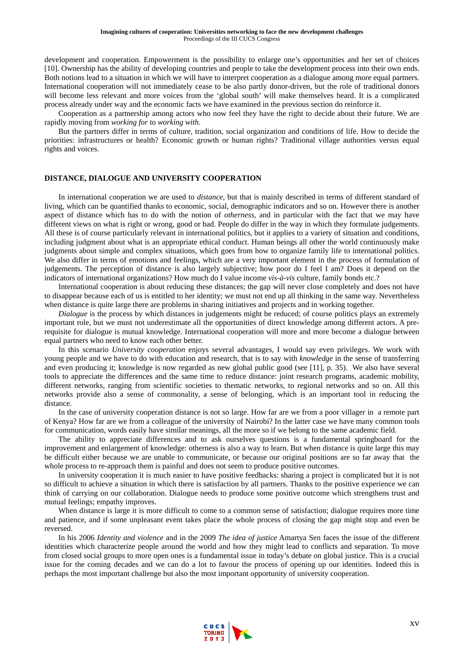development and cooperation. Empowerment is the possibility to enlarge one's opportunities and her set of choices [10]. Ownership has the ability of developing countries and people to take the development process into their own ends. Both notions lead to a situation in which we will have to interpret cooperation as a dialogue among more equal partners. International cooperation will not immediately cease to be also partly donor-driven, but the role of traditional donors will become less relevant and more voices from the 'global south' will make themselves heard. It is a complicated process already under way and the economic facts we have examined in the previous section do reinforce it.

Cooperation as a partnership among actors who now feel they have the right to decide about their future. We are rapidly moving from *working for* to *working with*.

But the partners differ in terms of culture, tradition, social organization and conditions of life. How to decide the priorities: infrastructures or health? Economic growth or human rights? Traditional village authorities versus equal rights and voices.

#### **DISTANCE, DIALOGUE AND UNIVERSITY COOPERATION**

In international cooperation we are used to *distance*, but that is mainly described in terms of different standard of living, which can be quantified thanks to economic, social, demographic indicators and so on. However there is another aspect of distance which has to do with the notion of *otherness*, and in particular with the fact that we may have different views on what is right or wrong, good or bad. People do differ in the way in which they formulate judgements. All these is of course particularly relevant in international politics, but it applies to a variety of situation and conditions, including judgment about what is an appropriate ethical conduct. Human beings all other the world continuously make judgments about simple and complex situations, which goes from how to organize family life to international politics. We also differ in terms of emotions and feelings, which are a very important element in the process of formulation of judgements. The perception of distance is also largely subjective; how poor do I feel I am? Does it depend on the indicators of international organizations? How much do I value income *vis-à-vis* culture, family bonds etc.?

International cooperation is about reducing these distances; the gap will never close completely and does not have to disappear because each of us is entitled to her identity; we must not end up all thinking in the same way. Nevertheless when distance is quite large there are problems in sharing initiatives and projects and in working together.

*Dialogue* is the process by which distances in judgements might be reduced; of course politics plays an extremely important role, but we must not underestimate all the opportunities of direct knowledge among different actors. A prerequisite for dialogue is mutual knowledge. International cooperation will more and more become a dialogue between equal partners who need to know each other better.

In this scenario *University cooperation* enjoys several advantages, I would say even privileges. We work with young people and we have to do with education and research, that is to say with *knowledge* in the sense of transferring and even producing it; knowledge is now regarded as new global public good (see [11], p. 35). We also have several tools to appreciate the differences and the same time to reduce distance: joint research programs, academic mobility, different networks, ranging from scientific societies to thematic networks, to regional networks and so on. All this networks provide also a sense of commonality, a sense of belonging, which is an important tool in reducing the distance.

In the case of university cooperation distance is not so large. How far are we from a poor villager in a remote part of Kenya? How far are we from a colleague of the university of Nairobi? In the latter case we have many common tools for communication, words easily have similar meanings, all the more so if we belong to the same academic field.

The ability to appreciate differences and to ask ourselves questions is a fundamental springboard for the improvement and enlargement of knowledge: otherness is also a way to learn. But when distance is quite large this may be difficult either because we are unable to communicate, or because our original positions are so far away that the whole process to re-approach them is painful and does not seem to produce positive outcomes.

In university cooperation it is much easier to have positive feedbacks: sharing a project is complicated but it is not so difficult to achieve a situation in which there is satisfaction by all partners. Thanks to the positive experience we can think of carrying on our collaboration. Dialogue needs to produce some positive outcome which strengthens trust and mutual feelings; empathy improves.

When distance is large it is more difficult to come to a common sense of satisfaction; dialogue requires more time and patience, and if some unpleasant event takes place the whole process of closing the gap might stop and even be reversed.

In his 2006 *Identity and violence* and in the 2009 *The idea of justice* Amartya Sen faces the issue of the different identities which characterize people around the world and how they might lead to conflicts and separation. To move from closed social groups to more open ones is a fundamental issue in today's debate on global justice. This is a crucial issue for the coming decades and we can do a lot to favour the process of opening up our identities. Indeed this is perhaps the most important challenge but also the most important opportunity of university cooperation.

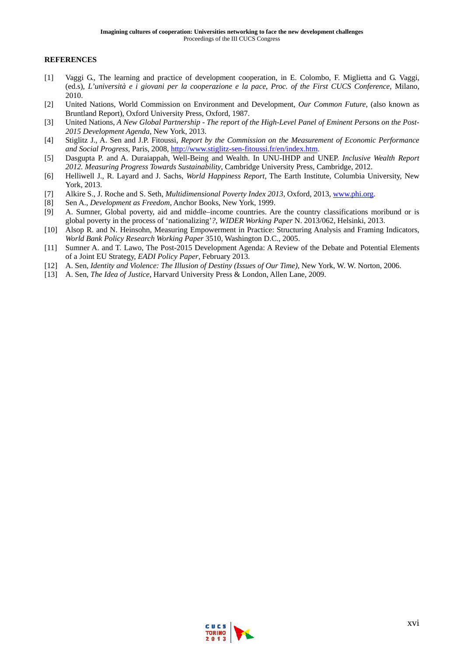## **REFERENCES**

- [1] Vaggi G., The learning and practice of development cooperation, in E. Colombo, F. Miglietta and G. Vaggi, (ed.s), *L'università e i giovani per la cooperazione e la pace*, *Proc. of the First CUCS Conference*, Milano, 2010.
- [2] United Nations, World Commission on Environment and Development, *Our Common Future*, (also known as Bruntland Report), Oxford University Press, Oxford, 1987.
- [3] United Nations, *A New Global Partnership The report of the High-Level Panel of Eminent Persons on the Post-2015 Development Agenda*, New York, 2013.
- [4] Stiglitz J., A. Sen and J.P. Fitoussi, *Report by the Commission on the Measurement of Economic Performance and Social Progress*, Paris, 2008, http://www.stiglitz-sen-fitoussi.fr/en/index.htm.
- [5] Dasgupta P. and A. Duraiappah, Well-Being and Wealth. In UNU-IHDP and UNEP. *Inclusive Wealth Report 2012. Measuring Progress Towards Sustainability*, Cambridge University Press, Cambridge, 2012.
- [6] Helliwell J., R. Layard and J. Sachs, *World Happiness Report*, The Earth Institute, Columbia University, New York, 2013.
- [7] Alkire S., J. Roche and S. Seth, *Multidimensional Poverty Index 2013*, Oxford, 2013, www.phi.org.
- [8] Sen A., *Development as Freedom*, Anchor Books, New York, 1999.
- [9] A. Sumner, Global poverty, aid and middle–income countries. Are the country classifications moribund or is global poverty in the process of 'nationalizing'*?*, *WIDER Working Paper* N. 2013/062, Helsinki, 2013.
- [10] Alsop R. and N. Heinsohn, Measuring Empowerment in Practice: Structuring Analysis and Framing Indicators, *World Bank Policy Research Working Paper* 3510, Washington D.C., 2005.
- [11] Sumner A. and T. Lawo, The Post-2015 Development Agenda: A Review of the Debate and Potential Elements of a Joint EU Strategy, *EADI Policy Paper*, February 2013.
- [12] A. Sen, *Identity and Violence: The Illusion of Destiny (Issues of Our Time),* New York, W. W. Norton, 2006.
- [13] A. Sen, *The Idea of Justice*, Harvard University Press & London, Allen Lane, 2009.